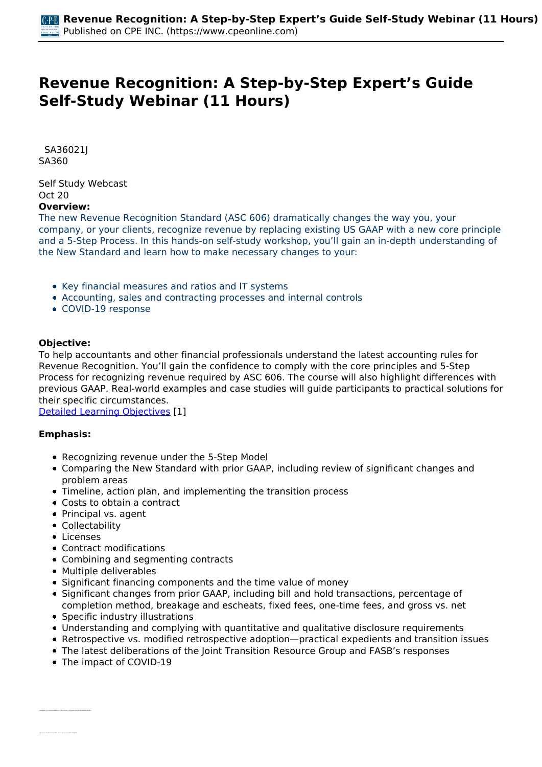# **Revenue Recognition: A Step-by-Step Expert's Guide Self-Study Webinar (11 Hours)**

 *SA36021J SA360* 

*Self Study Webcast Oct 20*  **Overview:** 

*The new Revenue Recognition Standard (ASC 606) dramatically changes the way you, your company, or your clients, recognize revenue by replacing existing US GAAP with a new core principle and a 5-Step Process. In this hands-on self-study workshop, you'll gain an in-depth understanding of the New Standard and learn how to make necessary changes to your:*

- *Key financial measures and ratios and IT systems*
- *Accounting, sales and contracting processes and internal controls*
- *COVID-19 response*

#### **Objective:**

*To help accountants and other financial professionals understand the latest accounting rules for Revenue Recognition. You'll gain the confidence to comply with the core principles and 5-Step Process for recognizing revenue required by ASC 606. The course will also highlight differences with previous GAAP. Real-world examples and case studies will guide participants to practical solutions for their specific circumstances.*

*[Detailed Learning Objectives](https://www.cpeonline.com/JavaScript:showObjectivesPopup();) [1]*

## **Emphasis:**

- *Recognizing revenue under the 5-Step Model*
- *Comparing the New Standard with prior GAAP, including review of significant changes and problem areas*
- *Timeline, action plan, and implementing the transition process*
- *Costs to obtain a contract*
- *Principal vs. agent*
- *Collectability*
- *Licenses*

*• Recognize the concerns leading up to the creation of the new revenue recognition standard*

- *Contract modifications*
- *Combining and segmenting contracts*
- *Multiple deliverables*
- *Significant financing components and the time value of money*
- *Significant changes from prior GAAP, including bill and hold transactions, percentage of completion method, breakage and escheats, fixed fees, one-time fees, and gross vs. net*
- *Specific industry illustrations*
- *Understanding and complying with quantitative and qualitative disclosure requirements*
- *Retrospective vs. modified retrospective adoption—practical expedients and transition issues*
- *The latest deliberations of the Joint Transition Resource Group and FASB's responses*
- *The impact of COVID-19*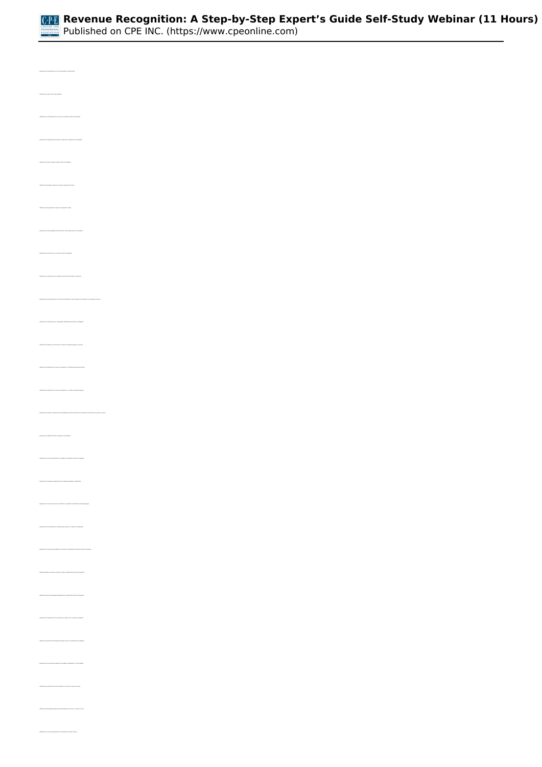

*• Identify the scope of the new standard • Identify the overall approach to revenue recognition under the standard • Recognize the preliminary processes necessary to implement the standard • Identify the areas of highest impact under the standard • Identify the standard's impact on financial reporting for taxes • Identify the steps within the revenue recognition model • Recognize the new judgments that will have to be made under the standard • Recognize the criterion for a contract under the standard • Recognize the characteristics of a contract modification that should be accounted for as a separate contract • Identify the characteristics of a separately identifiable performance obligation • Identify the indicators of a transfer of control of underlying goods or services • Identify the implications of revenue recognition on intellectual property licenses • Recognize the proper treatment of nonrefundable up-front fees that do not relate to the transfer of a good or service • Recognize the different forms of variable consideration • Identify the accounting treatment of variable consideration under the standard • Recognize the level at which the constraint on variable consideration should be applied • Recognize the characteristics of optional purchases vs. variable consideration • Identify whether a revenue contract contains a significant financing component • Identify the characteristics of a principal vs. agent role in revenue recognition • Identify the method for allocating transaction price to a performance obligation • Recognize the accounting treatment of variable consideration in the standard • Identify the characteristics of the transfer of control of a good or service • Identify criteria distinguishing control transferred over time vs. a point in time*

*• Identify the accounting treatment of inestimable customer returns*